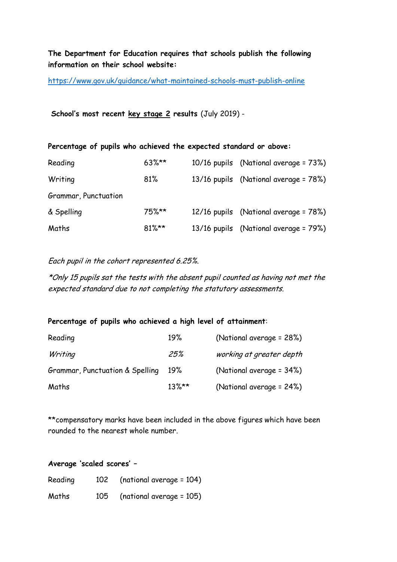## **The Department for Education requires that schools publish the following information on their school website:**

<https://www.gov.uk/guidance/what-maintained-schools-must-publish-online>

**School's most recent key stage 2 results** (July 2019) -

| Percentage of pupils who achieved the expected standard or above: |          |  |                                       |  |  |  |
|-------------------------------------------------------------------|----------|--|---------------------------------------|--|--|--|
| Reading                                                           | $63\%**$ |  | 10/16 pupils (National average = 73%) |  |  |  |
| Writing                                                           | 81%      |  | 13/16 pupils (National average = 78%) |  |  |  |
| Grammar, Punctuation                                              |          |  |                                       |  |  |  |
| & Spelling                                                        | $75%**$  |  | 12/16 pupils (National average = 78%) |  |  |  |
| Maths                                                             | $81\%**$ |  | 13/16 pupils (National average = 79%) |  |  |  |

Each pupil in the cohort represented 6.25%.

\*Only 15 pupils sat the tests with the absent pupil counted as having not met the expected standard due to not completing the statutory assessments.

## **Percentage of pupils who achieved a high level of attainment**:

| Reading                         | 19%      | (National average = 28%) |
|---------------------------------|----------|--------------------------|
| Writing                         | 25%      | working at greater depth |
| Grammar, Punctuation & Spelling | 19%      | (National average = 34%) |
| Maths                           | $13\%**$ | (National average = 24%) |

\*\*compensatory marks have been included in the above figures which have been rounded to the nearest whole number.

**Average 'scaled scores' –**

| Reading |     | $102$ (national average = 104) |
|---------|-----|--------------------------------|
| Maths   | 105 | (national average = 105)       |